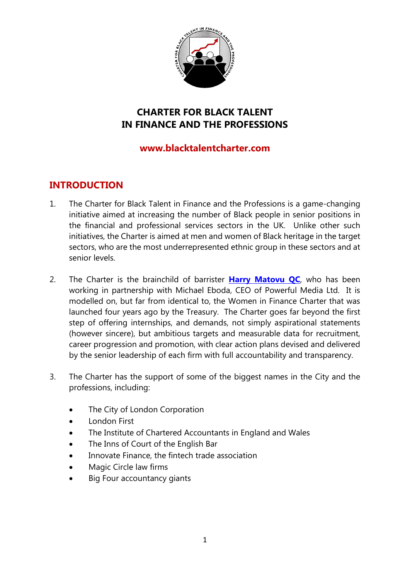

# **CHARTER FOR BLACK TALENT IN FINANCE AND THE PROFESSIONS**

### **www.blacktalentcharter.com**

## **INTRODUCTION**

- 1. The Charter for Black Talent in Finance and the Professions is a game-changing initiative aimed at increasing the number of Black people in senior positions in the financial and professional services sectors in the UK. Unlike other such initiatives, the Charter is aimed at men and women of Black heritage in the target sectors, who are the most underrepresented ethnic group in these sectors and at senior levels.
- 2. The Charter is the brainchild of barrister **[Harry Matovu QC](https://www.brickcourt.co.uk/our-people/profile/harry-matovu-qc)**, who has been working in partnership with Michael Eboda, CEO of Powerful Media Ltd. It is modelled on, but far from identical to, the Women in Finance Charter that was launched four years ago by the Treasury. The Charter goes far beyond the first step of offering internships, and demands, not simply aspirational statements (however sincere), but ambitious targets and measurable data for recruitment, career progression and promotion, with clear action plans devised and delivered by the senior leadership of each firm with full accountability and transparency.
- 3. The Charter has the support of some of the biggest names in the City and the professions, including:
	- The City of London Corporation
	- London First
	- The Institute of Chartered Accountants in England and Wales
	- The Inns of Court of the English Bar
	- Innovate Finance, the fintech trade association
	- Magic Circle law firms
	- Big Four accountancy giants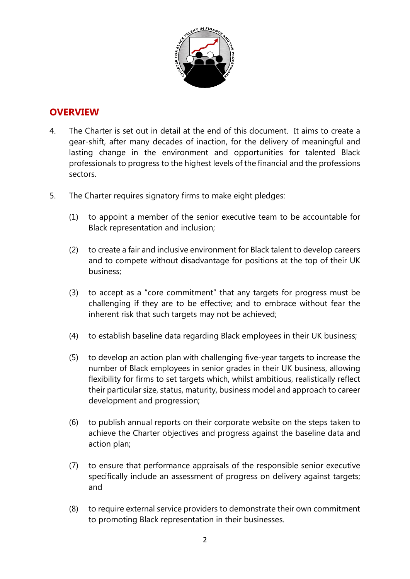

### **OVERVIEW**

- 4. The Charter is set out in detail at the end of this document. It aims to create a gear-shift, after many decades of inaction, for the delivery of meaningful and lasting change in the environment and opportunities for talented Black professionals to progress to the highest levels of the financial and the professions sectors.
- 5. The Charter requires signatory firms to make eight pledges:
	- (1) to appoint a member of the senior executive team to be accountable for Black representation and inclusion;
	- (2) to create a fair and inclusive environment for Black talent to develop careers and to compete without disadvantage for positions at the top of their UK business;
	- (3) to accept as a "core commitment" that any targets for progress must be challenging if they are to be effective; and to embrace without fear the inherent risk that such targets may not be achieved;
	- (4) to establish baseline data regarding Black employees in their UK business;
	- (5) to develop an action plan with challenging five-year targets to increase the number of Black employees in senior grades in their UK business, allowing flexibility for firms to set targets which, whilst ambitious, realistically reflect their particular size, status, maturity, business model and approach to career development and progression;
	- (6) to publish annual reports on their corporate website on the steps taken to achieve the Charter objectives and progress against the baseline data and action plan;
	- (7) to ensure that performance appraisals of the responsible senior executive specifically include an assessment of progress on delivery against targets; and
	- (8) to require external service providers to demonstrate their own commitment to promoting Black representation in their businesses.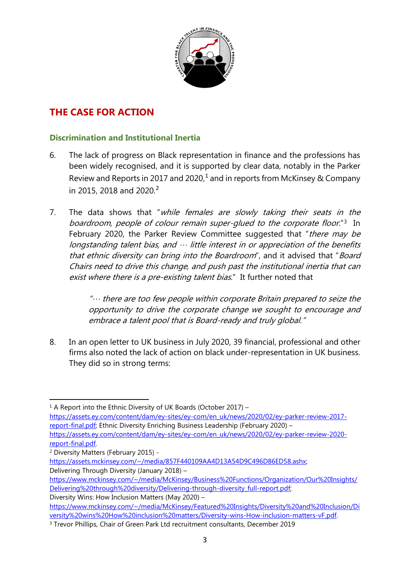

## **THE CASE FOR ACTION**

### **Discrimination and Institutional Inertia**

- 6. The lack of progress on Black representation in finance and the professions has been widely recognised, and it is supported by clear data, notably in the Parker Review and Reports in 20[1](#page-2-0)7 and 2020,<sup>1</sup> and in reports from McKinsey & Company in [2](#page-2-1)015, 2018 and 2020.<sup>2</sup>
- 7. The data shows that "while females are slowly taking their seats in the boardroom, people of colour remain super-glued to the corporate floor."<sup>3</sup> In February 2020, the Parker Review Committee suggested that "there may be longstanding talent bias, and  $\cdots$  little interest in or appreciation of the benefits that ethnic diversity can bring into the Boardroom", and it advised that "Board Chairs need to drive this change, and push past the institutional inertia that can exist where there is a pre-existing talent bias." It further noted that

"… there are too few people within corporate Britain prepared to seize the opportunity to drive the corporate change we sought to encourage and embrace <sup>a</sup> talent pool that is Board-ready and truly global."

8. In an [open letter](https://www.audeliss.com/en/news/a-open-letter-to-uk-business-in-response-to-blacklivesmatter/) [to UK business in July 2020,](https://www.audeliss.com/en/news/a-open-letter-to-uk-business-in-response-to-blacklivesmatter/) 39 financial, professional and other firms also noted the lack of action on black under-representation in UK business. They did so in strong terms:

<span id="page-2-0"></span> $1$  A Report into the Ethnic Diversity of UK Boards (October 2017) – [https://assets.ey.com/content/dam/ey-sites/ey-com/en\\_uk/news/2020/02/ey-parker-review-2017](https://assets.ey.com/content/dam/ey-sites/ey-com/en_uk/news/2020/02/ey-parker-review-2017-report-final.pdf) [report-final.pdf;](https://assets.ey.com/content/dam/ey-sites/ey-com/en_uk/news/2020/02/ey-parker-review-2017-report-final.pdf) Ethnic Diversity Enriching Business Leadership (February 2020) –

[https://assets.ey.com/content/dam/ey-sites/ey-com/en\\_uk/news/2020/02/ey-parker-review-2020](https://assets.ey.com/content/dam/ey-sites/ey-com/en_uk/news/2020/02/ey-parker-review-2020-report-final.pdf) [report-final.pdf.](https://assets.ey.com/content/dam/ey-sites/ey-com/en_uk/news/2020/02/ey-parker-review-2020-report-final.pdf)

-

[https://assets.mckinsey.com/~/media/857F440109AA4D13A54D9C496D86ED58.ashx;](https://assets.mckinsey.com/%7E/media/857F440109AA4D13A54D9C496D86ED58.ashx)  Delivering Through Diversity (January 2018) –

<span id="page-2-1"></span><sup>2</sup> Diversity Matters (February 2015) -

[https://www.mckinsey.com/~/media/McKinsey/Business%20Functions/Organization/Our%20Insights/](https://www.mckinsey.com/%7E/media/McKinsey/Business%20Functions/Organization/Our%20Insights/Delivering%20through%20diversity/Delivering-through-diversity_full-report.pdf) [Delivering%20through%20diversity/Delivering-through-diversity\\_full-report.pdf;](https://www.mckinsey.com/%7E/media/McKinsey/Business%20Functions/Organization/Our%20Insights/Delivering%20through%20diversity/Delivering-through-diversity_full-report.pdf)  Diversity Wins: How Inclusion Matters (May 2020) –

[https://www.mckinsey.com/~/media/McKinsey/Featured%20Insights/Diversity%20and%20Inclusion/Di](https://www.mckinsey.com/%7E/media/McKinsey/Featured%20Insights/Diversity%20and%20Inclusion/Diversity%20wins%20How%20inclusion%20matters/Diversity-wins-How-inclusion-matters-vF.pdf) [versity%20wins%20How%20inclusion%20matters/Diversity-wins-How-inclusion-matters-vF.pdf.](https://www.mckinsey.com/%7E/media/McKinsey/Featured%20Insights/Diversity%20and%20Inclusion/Diversity%20wins%20How%20inclusion%20matters/Diversity-wins-How-inclusion-matters-vF.pdf)

<span id="page-2-2"></span><sup>3</sup> Trevor Phillips, Chair of Green Park Ltd recruitment consultants, December 2019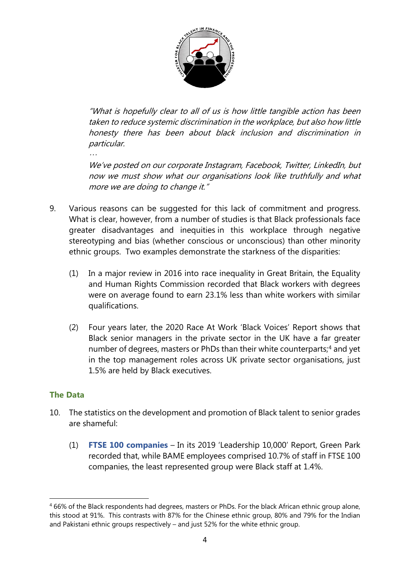

"What is hopefully clear to all of us is how little tangible action has been taken to reduce systemic discrimination in the workplace, but also how little honesty there has been about black inclusion and discrimination in particular.

We've posted on our corporate Instagram, Facebook, Twitter, LinkedIn, but now we must show what our organisations look like truthfully and what more we are doing to change it."

- 9. Various reasons can be suggested for this lack of commitment and progress. What is clear, however, from a number of studies is that Black professionals face greater disadvantages and inequities in this workplace through negative stereotyping and bias (whether conscious or unconscious) than other minority ethnic groups. Two examples demonstrate the starkness of the disparities:
	- (1) In a major review in 2016 into race inequality in Great Britain, the Equality and Human Rights Commission recorded that Black workers with degrees were on average found to earn 23.1% less than white workers with similar qualifications.
	- (2) Four years later, the 2020 Race At Work 'Black Voices' Report shows that Black senior managers in the private sector in the UK have a far greater number of degrees, masters or PhDs than their white counterparts;<sup>[4](#page-3-0)</sup> and yet in the top management roles across UK private sector organisations, just 1.5% are held by Black executives.

### **The Data**

…

- 10. The statistics on the development and promotion of Black talent to senior grades are shameful:
	- (1) **FTSE 100 companies** In its 2019 ['Leadership](https://www.blacktalentcharter.com/reportsandstudies) 10,000' Report, Green Park recorded that, while BAME employees comprised 10.7% of staff in FTSE 100 companies, the least represented group were Black staff at 1.4%.

<span id="page-3-0"></span><sup>-</sup><sup>4</sup> 66% of the Black respondents had degrees, masters or PhDs. For the black African ethnic group alone, this stood at 91%. This contrasts with 87% for the Chinese ethnic group, 80% and 79% for the Indian and Pakistani ethnic groups respectively – and just 52% for the white ethnic group.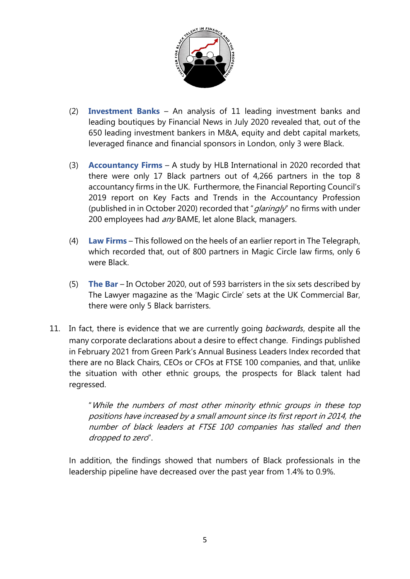

- (2) **Investment Banks** An analysis of 11 leading investment banks and leading boutiques by Financial News in July 2020 revealed that, out of the 650 leading investment bankers in M&A, equity and debt capital markets, leveraged finance and financial sponsors in London, only 3 were Black.
- (3) **Accountancy Firms** A study by HLB International in 2020 recorded that there were only 17 Black partners out of 4,266 partners in the top 8 accountancy firms in the UK. Furthermore, the Financial Reporting Council's 2019 report on Key Facts and Trends in the Accountancy Profession (published in in October 2020) recorded that " $q$ laringly" no firms with under 200 employees had any BAME, let alone Black, managers.
- (4) **Law Firms** This followed on the heels of an earlier report in The Telegraph, which recorded that, out of 800 partners in Magic Circle law firms, only 6 were Black.
- (5) **The Bar** In October 2020, out of 593 barristers in the six sets described by The Lawyer magazine as the 'Magic Circle' sets at the UK Commercial Bar, there were only 5 Black barristers.
- 11. In fact, there is evidence that we are currently going *backwards*, despite all the many corporate declarations about a desire to effect change. Findings published in February 2021 from Green Park's Annual Business Leaders Index recorded that there are no Black Chairs, CEOs or CFOs at FTSE 100 companies, and that, unlike the situation with other ethnic groups, the prospects for Black talent had regressed.

"While the numbers of most other minority ethnic groups in these top positions have increased by a small amount since its first report in 2014, the number of black leaders at FTSE 100 companies has stalled and then dropped to zero".

In addition, the findings showed that numbers of Black professionals in the leadership pipeline have decreased over the past year from 1.4% to 0.9%.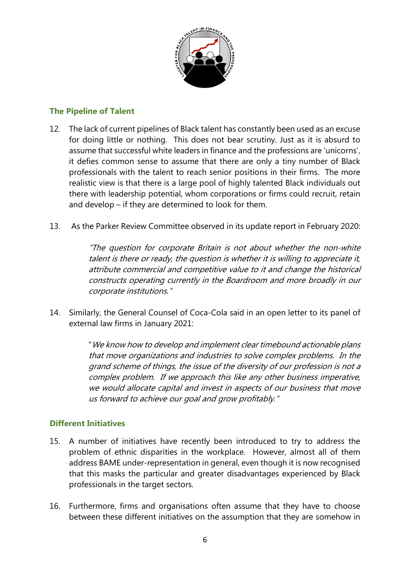

#### **The Pipeline of Talent**

- 12. The lack of current pipelines of Black talent has constantly been used as an excuse for doing little or nothing. This does not bear scrutiny. Just as it is absurd to assume that successful white leaders in finance and the professions are 'unicorns', it defies common sense to assume that there are only a tiny number of Black professionals with the talent to reach senior positions in their firms. The more realistic view is that there is a large pool of highly talented Black individuals out there with leadership potential, whom corporations or firms could recruit, retain and develop – if they are determined to look for them.
- 13. As the Parker Review Committee observed in its update report in February 2020:

"The question for corporate Britain is not about whether the non-white talent is there or ready, the question is whether it is willing to appreciate it, attribute commercial and competitive value to it and change the historical constructs operating currently in the Boardroom and more broadly in our corporate institutions."

14. Similarly, the General Counsel of Coca-Cola said in an open letter to its panel of external law firms in January 2021:

> "We know how to develop and implement clear timebound actionable plans that move organizations and industries to solve complex problems. In the grand scheme of things, the issue of the diversity of our profession is not a complex problem. If we approach this like any other business imperative, we would allocate capital and invest in aspects of our business that move us forward to achieve our goal and grow profitably."

#### **Different Initiatives**

- 15. A number of initiatives have recently been introduced to try to address the problem of ethnic disparities in the workplace. However, almost all of them address BAME under-representation in general, even though it is now recognised that this masks the particular and greater disadvantages experienced by Black professionals in the target sectors.
- 16. Furthermore, firms and organisations often assume that they have to choose between these different initiatives on the assumption that they are somehow in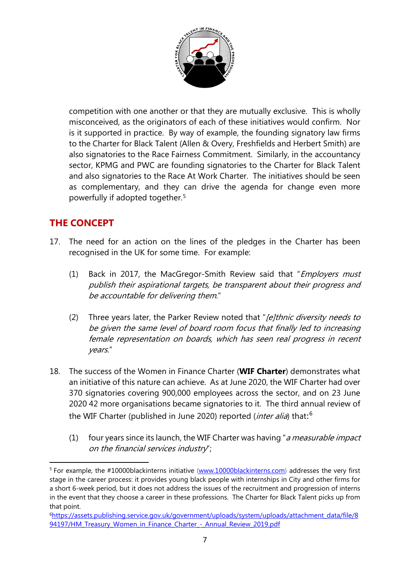

competition with one another or that they are mutually exclusive. This is wholly misconceived, as the originators of each of these initiatives would confirm. Nor is it supported in practice. By way of example, the founding signatory law firms to the Charter for Black Talent (Allen & Overy, Freshfields and Herbert Smith) are also signatories to the Race Fairness Commitment. Similarly, in the accountancy sector, KPMG and PWC are founding signatories to the Charter for Black Talent and also signatories to the Race At Work Charter. The initiatives should be seen as complementary, and they can drive the agenda for change even more powerfully if adopted together.[5](#page-6-0)

## **THE CONCEPT**

- 17. The need for an action on the lines of the pledges in the Charter has been recognised in the UK for some time. For example:
	- (1) Back in 2017, the MacGregor-Smith Review said that "*Employers must* publish their aspirational targets, be transparent about their progress and be accountable for delivering them."
	- (2) Three years later, the Parker Review noted that "*[e]thnic diversity needs to* be given the same level of board room focus that finally led to increasing female representation on boards, which has seen real progress in recent years."
- 18. The success of the Women in Finance Charter (**WIF Charter**) demonstrates what an initiative of this nature can achieve. As at June 2020, the WIF Charter had over 370 signatories covering 900,000 employees across the sector, and on 23 June 2020 42 more organisations became signatories to it. The third annual review of the WIF Charter (published in June 2020) reported (*inter alia*) that:<sup>[6](#page-6-1)</sup>
	- (1) four years since its launch, the WIF Charter was having "a measurable impact on the financial services industry";

<span id="page-6-0"></span> <sup>5</sup> For example, the #10000blackinterns initiative [\(www.10000blackinterns.com\)](http://www.10000blackinterns.com/) addresses the very first stage in the career process: it provides young black people with internships in City and other firms for a short 6-week period, but it does not address the issues of the recruitment and progression of interns in the event that they choose a career in these professions. The Charter for Black Talent picks up from that point.

<span id="page-6-1"></span>[<sup>6</sup>https://assets.publishing.service.gov.uk/government/uploads/system/uploads/attachment\\_data/file/8](https://assets.publishing.service.gov.uk/government/uploads/system/uploads/attachment_data/file/894197/HM_Treasury_Women_in_Finance_Charter_-_Annual_Review_2019.pdf) [94197/HM\\_Treasury\\_Women\\_in\\_Finance\\_Charter\\_-\\_Annual\\_Review\\_2019.pdf](https://assets.publishing.service.gov.uk/government/uploads/system/uploads/attachment_data/file/894197/HM_Treasury_Women_in_Finance_Charter_-_Annual_Review_2019.pdf)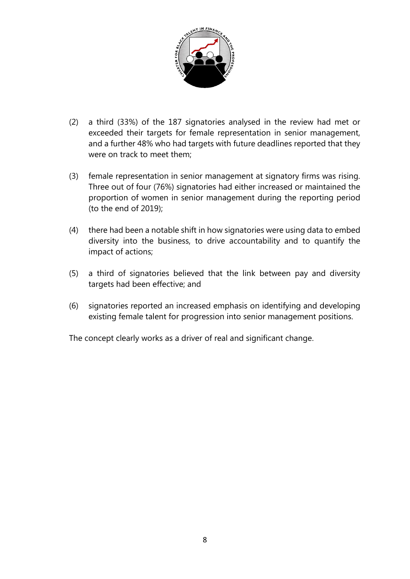

- (2) a third (33%) of the 187 signatories analysed in the review had met or exceeded their targets for female representation in senior management, and a further 48% who had targets with future deadlines reported that they were on track to meet them;
- (3) female representation in senior management at signatory firms was rising. Three out of four (76%) signatories had either increased or maintained the proportion of women in senior management during the reporting period (to the end of 2019);
- (4) there had been a notable shift in how signatories were using data to embed diversity into the business, to drive accountability and to quantify the impact of actions;
- (5) a third of signatories believed that the link between pay and diversity targets had been effective; and
- (6) signatories reported an increased emphasis on identifying and developing existing female talent for progression into senior management positions.

The concept clearly works as a driver of real and significant change.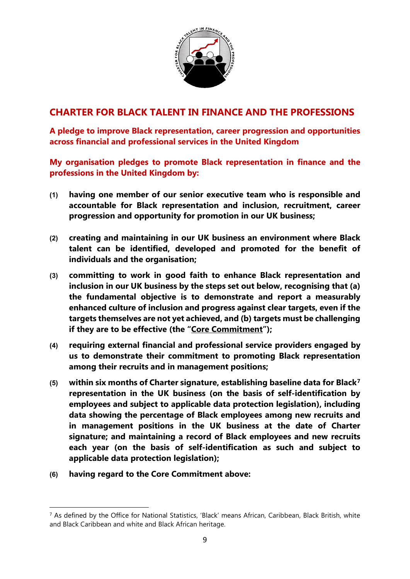

### **CHARTER FOR BLACK TALENT IN FINANCE AND THE PROFESSIONS**

**A pledge to improve Black representation, career progression and opportunities across financial and professional services in the United Kingdom**

**My organisation pledges to promote Black representation in finance and the professions in the United Kingdom by:** 

- **(1) having one member of our senior executive team who is responsible and accountable for Black representation and inclusion, recruitment, career progression and opportunity for promotion in our UK business;**
- **(2) creating and maintaining in our UK business an environment where Black talent can be identified, developed and promoted for the benefit of individuals and the organisation;**
- **(3) committing to work in good faith to enhance Black representation and inclusion in our UK business by the steps set out below, recognising that (a) the fundamental objective is to demonstrate and report a measurably enhanced culture of inclusion and progress against clear targets, even if the targets themselves are not yet achieved, and (b) targets must be challenging if they are to be effective (the "Core Commitment");**
- **(4) requiring external financial and professional service providers engaged by us to demonstrate their commitment to promoting Black representation among their recruits and in management positions;**
- **(5) within six months of Charter signature, establishing baseline data for Black[7](#page-8-0) representation in the UK business (on the basis of self-identification by employees and subject to applicable data protection legislation), including data showing the percentage of Black employees among new recruits and in management positions in the UK business at the date of Charter signature; and maintaining a record of Black employees and new recruits each year (on the basis of self-identification as such and subject to applicable data protection legislation);**
- **(6) having regard to the Core Commitment above:**

<span id="page-8-0"></span><sup>1</sup> <sup>7</sup> As defined by the Office for National Statistics, 'Black' means African, Caribbean, Black British, white and Black Caribbean and white and Black African heritage.